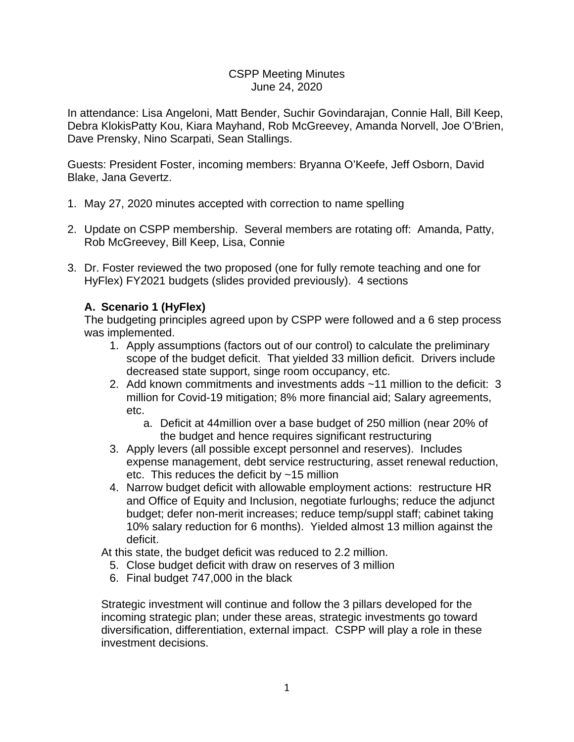### CSPP Meeting Minutes June 24, 2020

In attendance: Lisa Angeloni, Matt Bender, Suchir Govindarajan, Connie Hall, Bill Keep, Debra KlokisPatty Kou, Kiara Mayhand, Rob McGreevey, Amanda Norvell, Joe O'Brien, Dave Prensky, Nino Scarpati, Sean Stallings.

Guests: President Foster, incoming members: Bryanna O'Keefe, Jeff Osborn, David Blake, Jana Gevertz.

- 1. May 27, 2020 minutes accepted with correction to name spelling
- 2. Update on CSPP membership. Several members are rotating off: Amanda, Patty, Rob McGreevey, Bill Keep, Lisa, Connie
- 3. Dr. Foster reviewed the two proposed (one for fully remote teaching and one for HyFlex) FY2021 budgets (slides provided previously). 4 sections

# **A. Scenario 1 (HyFlex)**

The budgeting principles agreed upon by CSPP were followed and a 6 step process was implemented.

- 1. Apply assumptions (factors out of our control) to calculate the preliminary scope of the budget deficit. That yielded 33 million deficit. Drivers include decreased state support, singe room occupancy, etc.
- 2. Add known commitments and investments adds ~11 million to the deficit: 3 million for Covid-19 mitigation; 8% more financial aid; Salary agreements, etc.
	- a. Deficit at 44million over a base budget of 250 million (near 20% of the budget and hence requires significant restructuring
- 3. Apply levers (all possible except personnel and reserves). Includes expense management, debt service restructuring, asset renewal reduction, etc. This reduces the deficit by ~15 million
- 4. Narrow budget deficit with allowable employment actions: restructure HR and Office of Equity and Inclusion, negotiate furloughs; reduce the adjunct budget; defer non-merit increases; reduce temp/suppl staff; cabinet taking 10% salary reduction for 6 months). Yielded almost 13 million against the deficit.

At this state, the budget deficit was reduced to 2.2 million.

- 5. Close budget deficit with draw on reserves of 3 million
- 6. Final budget 747,000 in the black

Strategic investment will continue and follow the 3 pillars developed for the incoming strategic plan; under these areas, strategic investments go toward diversification, differentiation, external impact. CSPP will play a role in these investment decisions.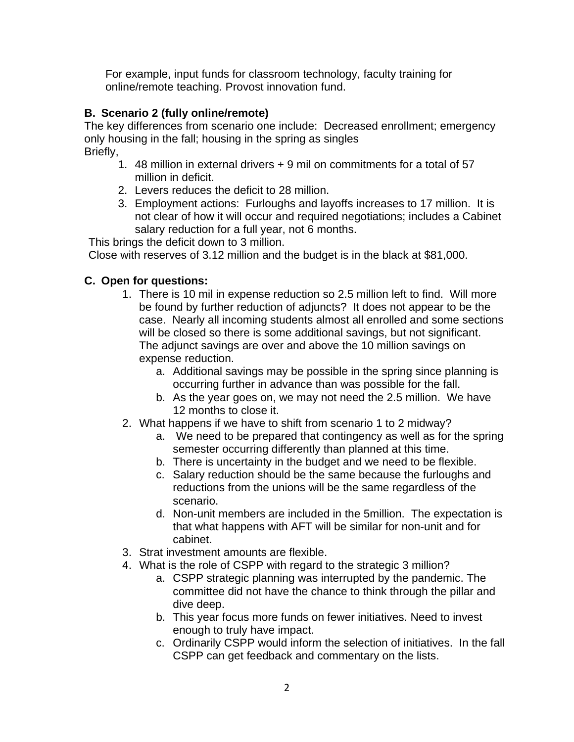For example, input funds for classroom technology, faculty training for online/remote teaching. Provost innovation fund.

# **B. Scenario 2 (fully online/remote)**

The key differences from scenario one include: Decreased enrollment; emergency only housing in the fall; housing in the spring as singles Briefly,

- 1. 48 million in external drivers + 9 mil on commitments for a total of 57 million in deficit.
- 2. Levers reduces the deficit to 28 million.
- 3. Employment actions: Furloughs and layoffs increases to 17 million. It is not clear of how it will occur and required negotiations; includes a Cabinet salary reduction for a full year, not 6 months.

This brings the deficit down to 3 million.

Close with reserves of 3.12 million and the budget is in the black at \$81,000.

# **C. Open for questions:**

- 1. There is 10 mil in expense reduction so 2.5 million left to find. Will more be found by further reduction of adjuncts? It does not appear to be the case. Nearly all incoming students almost all enrolled and some sections will be closed so there is some additional savings, but not significant. The adjunct savings are over and above the 10 million savings on expense reduction.
	- a. Additional savings may be possible in the spring since planning is occurring further in advance than was possible for the fall.
	- b. As the year goes on, we may not need the 2.5 million. We have 12 months to close it.
- 2. What happens if we have to shift from scenario 1 to 2 midway?
	- a. We need to be prepared that contingency as well as for the spring semester occurring differently than planned at this time.
	- b. There is uncertainty in the budget and we need to be flexible.
	- c. Salary reduction should be the same because the furloughs and reductions from the unions will be the same regardless of the scenario.
	- d. Non-unit members are included in the 5million. The expectation is that what happens with AFT will be similar for non-unit and for cabinet.
- 3. Strat investment amounts are flexible.
- 4. What is the role of CSPP with regard to the strategic 3 million?
	- a. CSPP strategic planning was interrupted by the pandemic. The committee did not have the chance to think through the pillar and dive deep.
	- b. This year focus more funds on fewer initiatives. Need to invest enough to truly have impact.
	- c. Ordinarily CSPP would inform the selection of initiatives. In the fall CSPP can get feedback and commentary on the lists.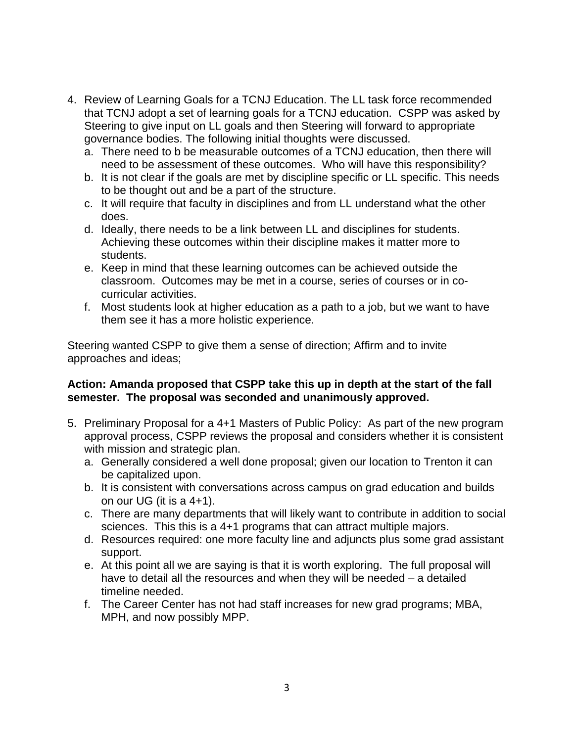- 4. Review of Learning Goals for a TCNJ Education. The LL task force recommended that TCNJ adopt a set of learning goals for a TCNJ education. CSPP was asked by Steering to give input on LL goals and then Steering will forward to appropriate governance bodies. The following initial thoughts were discussed.
	- a. There need to b be measurable outcomes of a TCNJ education, then there will need to be assessment of these outcomes. Who will have this responsibility?
	- b. It is not clear if the goals are met by discipline specific or LL specific. This needs to be thought out and be a part of the structure.
	- c. It will require that faculty in disciplines and from LL understand what the other does.
	- d. Ideally, there needs to be a link between LL and disciplines for students. Achieving these outcomes within their discipline makes it matter more to students.
	- e. Keep in mind that these learning outcomes can be achieved outside the classroom. Outcomes may be met in a course, series of courses or in cocurricular activities.
	- f. Most students look at higher education as a path to a job, but we want to have them see it has a more holistic experience.

Steering wanted CSPP to give them a sense of direction; Affirm and to invite approaches and ideas;

### **Action: Amanda proposed that CSPP take this up in depth at the start of the fall semester. The proposal was seconded and unanimously approved.**

- 5. Preliminary Proposal for a 4+1 Masters of Public Policy: As part of the new program approval process, CSPP reviews the proposal and considers whether it is consistent with mission and strategic plan.
	- a. Generally considered a well done proposal; given our location to Trenton it can be capitalized upon.
	- b. It is consistent with conversations across campus on grad education and builds on our UG (it is a 4+1).
	- c. There are many departments that will likely want to contribute in addition to social sciences. This this is a 4+1 programs that can attract multiple majors.
	- d. Resources required: one more faculty line and adjuncts plus some grad assistant support.
	- e. At this point all we are saying is that it is worth exploring. The full proposal will have to detail all the resources and when they will be needed – a detailed timeline needed.
	- f. The Career Center has not had staff increases for new grad programs; MBA, MPH, and now possibly MPP.